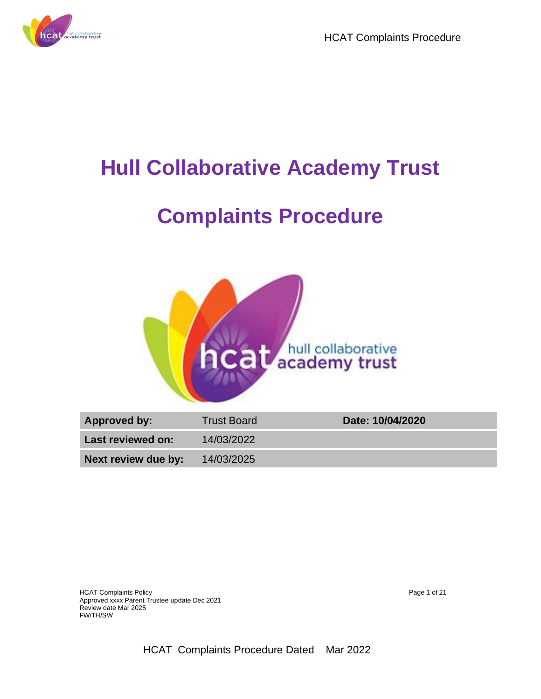



## **Hull Collaborative Academy Trust**

# **Complaints Procedure**



| Approved by:        | <b>Trust Board</b> | Date: 10/04/2020 |
|---------------------|--------------------|------------------|
| Last reviewed on:   | 14/03/2022         |                  |
| Next review due by: | 14/03/2025         |                  |

HCAT Complaints Policy **Page 1 of 21** and 21 and 21 and 21 and 21 and 21 and 21 and 21 and 21 and 21 and 21 and 21 and 21 and 21 and 21 and 21 and 21 and 21 and 21 and 21 and 22 and 22 and 22 and 22 and 22 and 22 and 22 an Approved xxxx Parent Trustee update Dec 2021 Review date Mar 2025 FW/TH/SW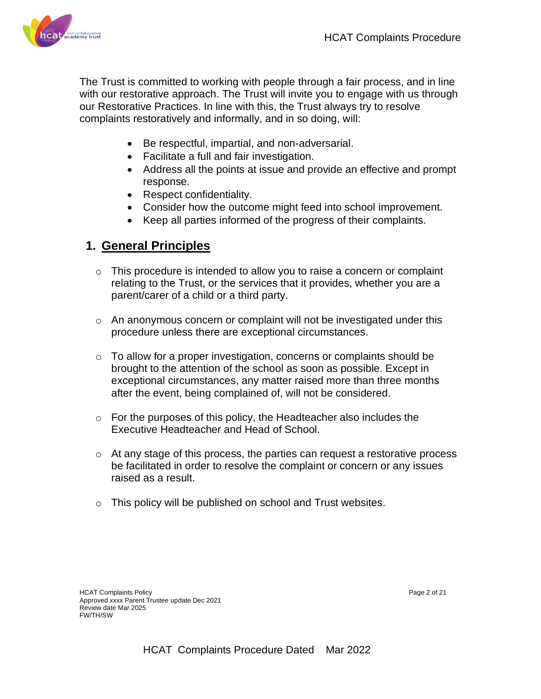

The Trust is committed to working with people through a fair process, and in line with our restorative approach. The Trust will invite you to engage with us through our Restorative Practices. In line with this, the Trust always try to resolve complaints restoratively and informally, and in so doing, will:

- Be respectful, impartial, and non-adversarial.
- Facilitate a full and fair investigation.
- Address all the points at issue and provide an effective and prompt response.
- Respect confidentiality.
- Consider how the outcome might feed into school improvement.
- Keep all parties informed of the progress of their complaints.

## **1. General Principles**

- $\circ$  This procedure is intended to allow you to raise a concern or complaint relating to the Trust, or the services that it provides, whether you are a parent/carer of a child or a third party.
- o An anonymous concern or complaint will not be investigated under this procedure unless there are exceptional circumstances.
- o To allow for a proper investigation, concerns or complaints should be brought to the attention of the school as soon as possible. Except in exceptional circumstances, any matter raised more than three months after the event, being complained of, will not be considered.
- o For the purposes of this policy, the Headteacher also includes the Executive Headteacher and Head of School.
- o At any stage of this process, the parties can request a restorative process be facilitated in order to resolve the complaint or concern or any issues raised as a result.
- $\circ$  This policy will be published on school and Trust websites.

HCAT Complaints Policy Page 2 of 21 Approved xxxx Parent Trustee update Dec 2021 Review date Mar 2025 FW/TH/SW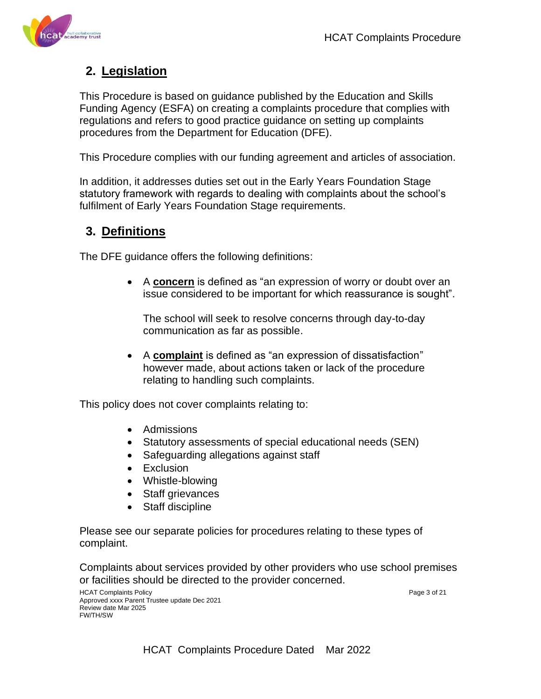

## **2. Legislation**

This Procedure is based on guidance published by the Education and Skills Funding Agency (ESFA) on creating a complaints procedure that complies with regulations and refers to good practice guidance on setting up complaints procedures from the Department for Education (DFE).

This Procedure complies with our funding agreement and articles of association.

In addition, it addresses duties set out in the Early Years Foundation Stage statutory framework with regards to dealing with complaints about the school's fulfilment of Early Years Foundation Stage requirements.

## **3. Definitions**

The DFE guidance offers the following definitions:

• A **concern** is defined as "an expression of worry or doubt over an issue considered to be important for which reassurance is sought".

The school will seek to resolve concerns through day-to-day communication as far as possible.

• A **complaint** is defined as "an expression of dissatisfaction" however made, about actions taken or lack of the procedure relating to handling such complaints.

This policy does not cover complaints relating to:

- Admissions
- Statutory assessments of special educational needs (SEN)
- Safeguarding allegations against staff
- Exclusion
- Whistle-blowing
- Staff grievances
- Staff discipline

Please see our separate policies for procedures relating to these types of complaint.

Complaints about services provided by other providers who use school premises or facilities should be directed to the provider concerned.

HCAT Complaints Policy Page 3 of 21 Approved xxxx Parent Trustee update Dec 2021 Review date Mar 2025 FW/TH/SW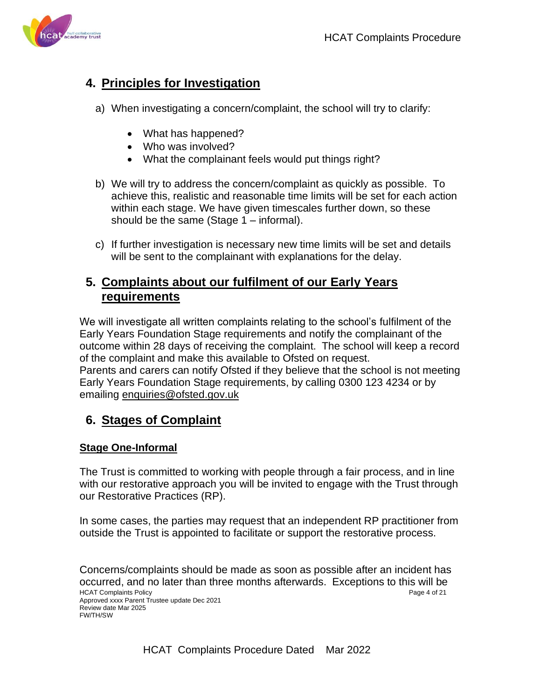

## **4. Principles for Investigation**

- a) When investigating a concern/complaint, the school will try to clarify:
	- What has happened?
	- Who was involved?
	- What the complainant feels would put things right?
- b) We will try to address the concern/complaint as quickly as possible. To achieve this, realistic and reasonable time limits will be set for each action within each stage. We have given timescales further down, so these should be the same (Stage 1 – informal).
- c) If further investigation is necessary new time limits will be set and details will be sent to the complainant with explanations for the delay.

## **5. Complaints about our fulfilment of our Early Years requirements**

We will investigate all written complaints relating to the school's fulfilment of the Early Years Foundation Stage requirements and notify the complainant of the outcome within 28 days of receiving the complaint. The school will keep a record of the complaint and make this available to Ofsted on request. Parents and carers can notify Ofsted if they believe that the school is not meeting Early Years Foundation Stage requirements, by calling 0300 123 4234 or by emailing [enquiries@ofsted.gov.uk](mailto:enquiries@ofsted.gov.uk)

## **6. Stages of Complaint**

### **Stage One-Informal**

FW/TH/SW

The Trust is committed to working with people through a fair process, and in line with our restorative approach you will be invited to engage with the Trust through our Restorative Practices (RP).

In some cases, the parties may request that an independent RP practitioner from outside the Trust is appointed to facilitate or support the restorative process.

HCAT Complaints Policy Page 4 of 21 Approved xxxx Parent Trustee update Dec 2021 Review date Mar 2025 Concerns/complaints should be made as soon as possible after an incident has occurred, and no later than three months afterwards. Exceptions to this will be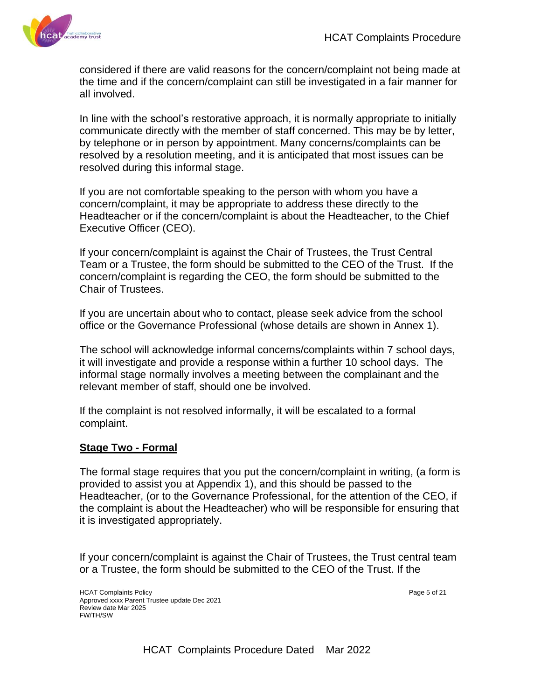

considered if there are valid reasons for the concern/complaint not being made at the time and if the concern/complaint can still be investigated in a fair manner for all involved.

In line with the school's restorative approach, it is normally appropriate to initially communicate directly with the member of staff concerned. This may be by letter, by telephone or in person by appointment. Many concerns/complaints can be resolved by a resolution meeting, and it is anticipated that most issues can be resolved during this informal stage.

If you are not comfortable speaking to the person with whom you have a concern/complaint, it may be appropriate to address these directly to the Headteacher or if the concern/complaint is about the Headteacher, to the Chief Executive Officer (CEO).

If your concern/complaint is against the Chair of Trustees, the Trust Central Team or a Trustee, the form should be submitted to the CEO of the Trust. If the concern/complaint is regarding the CEO, the form should be submitted to the Chair of Trustees.

If you are uncertain about who to contact, please seek advice from the school office or the Governance Professional (whose details are shown in Annex 1).

The school will acknowledge informal concerns/complaints within 7 school days, it will investigate and provide a response within a further 10 school days. The informal stage normally involves a meeting between the complainant and the relevant member of staff, should one be involved.

If the complaint is not resolved informally, it will be escalated to a formal complaint.

#### **Stage Two - Formal**

The formal stage requires that you put the concern/complaint in writing, (a form is provided to assist you at Appendix 1), and this should be passed to the Headteacher, (or to the Governance Professional, for the attention of the CEO, if the complaint is about the Headteacher) who will be responsible for ensuring that it is investigated appropriately.

If your concern/complaint is against the Chair of Trustees, the Trust central team or a Trustee, the form should be submitted to the CEO of the Trust. If the

HCAT Complaints Policy Page 5 of 21 Approved xxxx Parent Trustee update Dec 2021 Review date Mar 2025 FW/TH/SW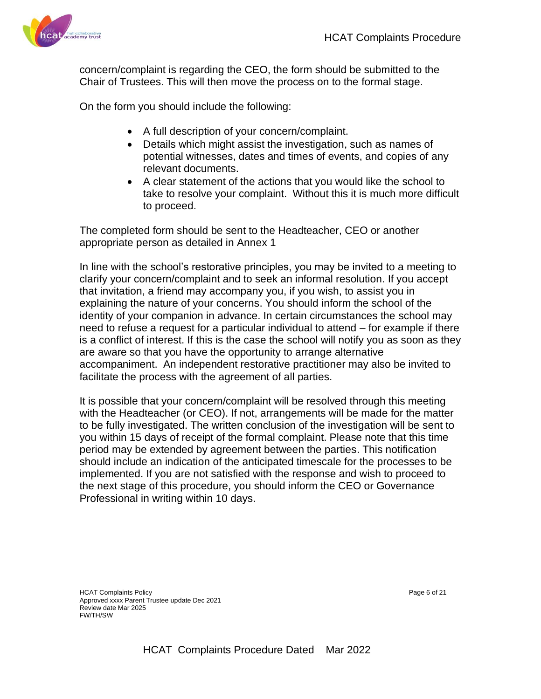

concern/complaint is regarding the CEO, the form should be submitted to the Chair of Trustees. This will then move the process on to the formal stage.

On the form you should include the following:

- A full description of your concern/complaint.
- Details which might assist the investigation, such as names of potential witnesses, dates and times of events, and copies of any relevant documents.
- A clear statement of the actions that you would like the school to take to resolve your complaint. Without this it is much more difficult to proceed.

The completed form should be sent to the Headteacher, CEO or another appropriate person as detailed in Annex 1

In line with the school's restorative principles, you may be invited to a meeting to clarify your concern/complaint and to seek an informal resolution. If you accept that invitation, a friend may accompany you, if you wish, to assist you in explaining the nature of your concerns. You should inform the school of the identity of your companion in advance. In certain circumstances the school may need to refuse a request for a particular individual to attend – for example if there is a conflict of interest. If this is the case the school will notify you as soon as they are aware so that you have the opportunity to arrange alternative accompaniment. An independent restorative practitioner may also be invited to facilitate the process with the agreement of all parties.

It is possible that your concern/complaint will be resolved through this meeting with the Headteacher (or CEO). If not, arrangements will be made for the matter to be fully investigated. The written conclusion of the investigation will be sent to you within 15 days of receipt of the formal complaint. Please note that this time period may be extended by agreement between the parties. This notification should include an indication of the anticipated timescale for the processes to be implemented. If you are not satisfied with the response and wish to proceed to the next stage of this procedure, you should inform the CEO or Governance Professional in writing within 10 days.

HCAT Complaints Policy Page 6 of 21 Approved xxxx Parent Trustee update Dec 2021 Review date Mar 2025 FW/TH/SW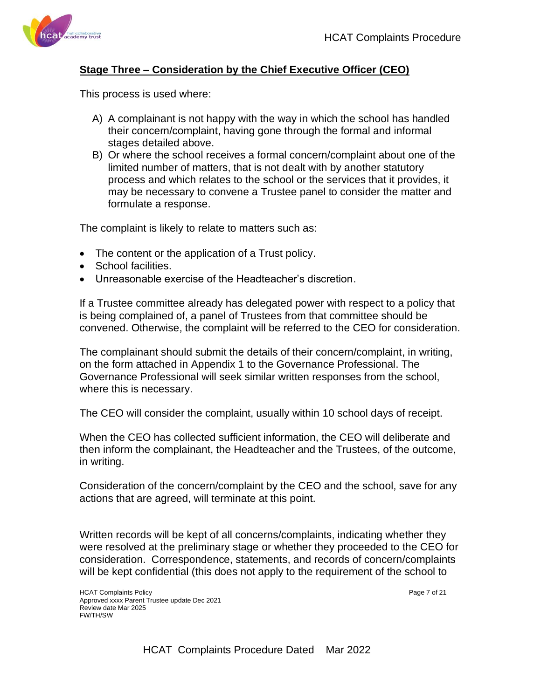

#### **Stage Three – Consideration by the Chief Executive Officer (CEO)**

This process is used where:

- A) A complainant is not happy with the way in which the school has handled their concern/complaint, having gone through the formal and informal stages detailed above.
- B) Or where the school receives a formal concern/complaint about one of the limited number of matters, that is not dealt with by another statutory process and which relates to the school or the services that it provides, it may be necessary to convene a Trustee panel to consider the matter and formulate a response.

The complaint is likely to relate to matters such as:

- The content or the application of a Trust policy.
- School facilities.
- Unreasonable exercise of the Headteacher's discretion.

If a Trustee committee already has delegated power with respect to a policy that is being complained of, a panel of Trustees from that committee should be convened. Otherwise, the complaint will be referred to the CEO for consideration.

The complainant should submit the details of their concern/complaint, in writing, on the form attached in Appendix 1 to the Governance Professional. The Governance Professional will seek similar written responses from the school, where this is necessary.

The CEO will consider the complaint, usually within 10 school days of receipt.

When the CEO has collected sufficient information, the CEO will deliberate and then inform the complainant, the Headteacher and the Trustees, of the outcome, in writing.

Consideration of the concern/complaint by the CEO and the school, save for any actions that are agreed, will terminate at this point.

Written records will be kept of all concerns/complaints, indicating whether they were resolved at the preliminary stage or whether they proceeded to the CEO for consideration. Correspondence, statements, and records of concern/complaints will be kept confidential (this does not apply to the requirement of the school to

HCAT Complaints Policy **Page 7 of 21** Approved xxxx Parent Trustee update Dec 2021 Review date Mar 2025 FW/TH/SW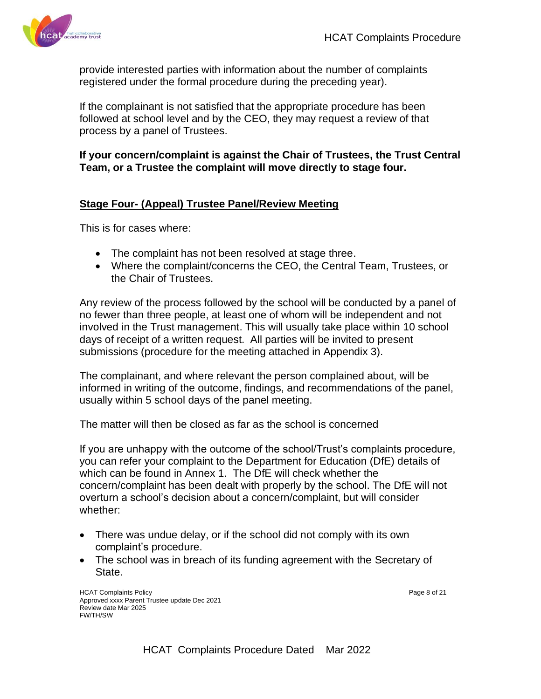

provide interested parties with information about the number of complaints registered under the formal procedure during the preceding year).

If the complainant is not satisfied that the appropriate procedure has been followed at school level and by the CEO, they may request a review of that process by a panel of Trustees.

#### **If your concern/complaint is against the Chair of Trustees, the Trust Central Team, or a Trustee the complaint will move directly to stage four.**

#### **Stage Four- (Appeal) Trustee Panel/Review Meeting**

This is for cases where:

- The complaint has not been resolved at stage three.
- Where the complaint/concerns the CEO, the Central Team, Trustees, or the Chair of Trustees.

Any review of the process followed by the school will be conducted by a panel of no fewer than three people, at least one of whom will be independent and not involved in the Trust management. This will usually take place within 10 school days of receipt of a written request. All parties will be invited to present submissions (procedure for the meeting attached in Appendix 3).

The complainant, and where relevant the person complained about, will be informed in writing of the outcome, findings, and recommendations of the panel, usually within 5 school days of the panel meeting.

The matter will then be closed as far as the school is concerned

If you are unhappy with the outcome of the school/Trust's complaints procedure, you can refer your complaint to the Department for Education (DfE) details of which can be found in Annex 1. The DfE will check whether the concern/complaint has been dealt with properly by the school. The DfE will not overturn a school's decision about a concern/complaint, but will consider whether:

- There was undue delay, or if the school did not comply with its own complaint's procedure.
- The school was in breach of its funding agreement with the Secretary of State.

HCAT Complaints Policy Page 8 of 21 Approved xxxx Parent Trustee update Dec 2021 Review date Mar 2025 FW/TH/SW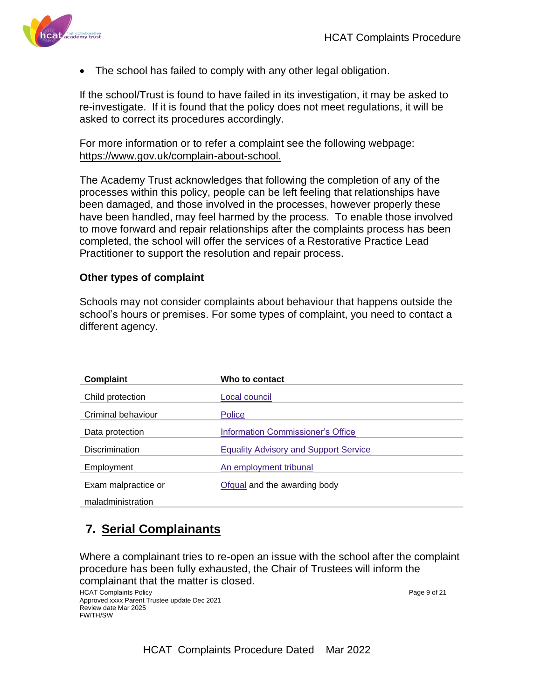

The school has failed to comply with any other legal obligation.

If the school/Trust is found to have failed in its investigation, it may be asked to re-investigate. If it is found that the policy does not meet regulations, it will be asked to correct its procedures accordingly.

For more information or to refer a complaint see the following webpage: [https://www.gov.uk/complain-about-school.](https://www.gov.uk/complain-about-school)

The Academy Trust acknowledges that following the completion of any of the processes within this policy, people can be left feeling that relationships have been damaged, and those involved in the processes, however properly these have been handled, may feel harmed by the process. To enable those involved to move forward and repair relationships after the complaints process has been completed, the school will offer the services of a Restorative Practice Lead Practitioner to support the resolution and repair process.

#### **Other types of complaint**

Schools may not consider complaints about behaviour that happens outside the school's hours or premises. For some types of complaint, you need to contact a different agency.

| Complaint             | Who to contact                               |
|-----------------------|----------------------------------------------|
| Child protection      | Local council                                |
| Criminal behaviour    | Police                                       |
| Data protection       | Information Commissioner's Office            |
| <b>Discrimination</b> | <b>Equality Advisory and Support Service</b> |
| Employment            | An employment tribunal                       |
| Exam malpractice or   | Ofqual and the awarding body                 |
| maladministration     |                                              |

## **7. Serial Complainants**

Where a complainant tries to re-open an issue with the school after the complaint procedure has been fully exhausted, the Chair of Trustees will inform the complainant that the matter is closed.

HCAT Complaints Policy **Page 9 of 21** and 21 and 22 and 22 and 22 and 22 and 22 and 22 and 22 and 22 and 22 and 22 and 22 and 22 and 22 and 22 and 22 and 22 and 22 and 22 and 22 and 22 and 22 and 22 and 22 and 22 and 22 an Approved xxxx Parent Trustee update Dec 2021 Review date Mar 2025 FW/TH/SW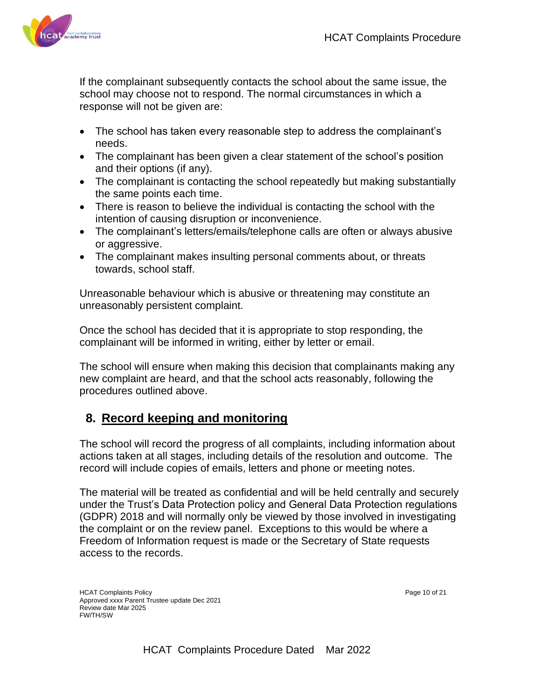

If the complainant subsequently contacts the school about the same issue, the school may choose not to respond. The normal circumstances in which a response will not be given are:

- The school has taken every reasonable step to address the complainant's needs.
- The complainant has been given a clear statement of the school's position and their options (if any).
- The complainant is contacting the school repeatedly but making substantially the same points each time.
- There is reason to believe the individual is contacting the school with the intention of causing disruption or inconvenience.
- The complainant's letters/emails/telephone calls are often or always abusive or aggressive.
- The complainant makes insulting personal comments about, or threats towards, school staff.

Unreasonable behaviour which is abusive or threatening may constitute an unreasonably persistent complaint.

Once the school has decided that it is appropriate to stop responding, the complainant will be informed in writing, either by letter or email.

The school will ensure when making this decision that complainants making any new complaint are heard, and that the school acts reasonably, following the procedures outlined above.

## **8. Record keeping and monitoring**

The school will record the progress of all complaints, including information about actions taken at all stages, including details of the resolution and outcome. The record will include copies of emails, letters and phone or meeting notes.

The material will be treated as confidential and will be held centrally and securely under the Trust's Data Protection policy and General Data Protection regulations (GDPR) 2018 and will normally only be viewed by those involved in investigating the complaint or on the review panel. Exceptions to this would be where a Freedom of Information request is made or the Secretary of State requests access to the records.

HCAT Complaints Policy **Page 10** of 21 Approved xxxx Parent Trustee update Dec 2021 Review date Mar 2025 FW/TH/SW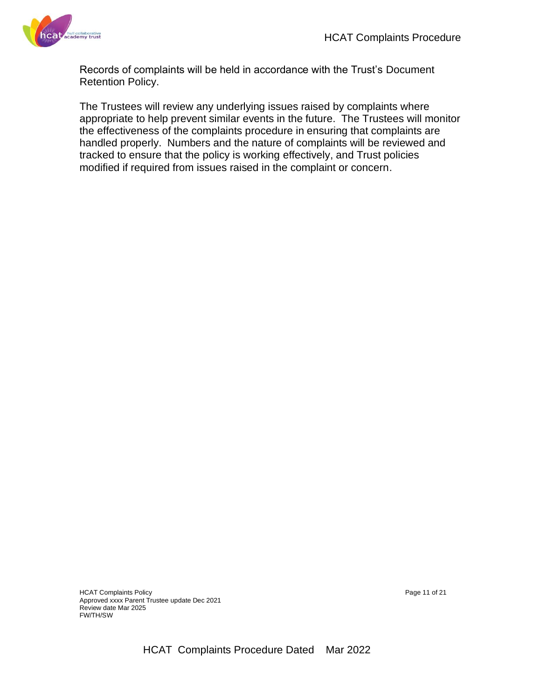

Records of complaints will be held in accordance with the Trust's Document Retention Policy.

The Trustees will review any underlying issues raised by complaints where appropriate to help prevent similar events in the future. The Trustees will monitor the effectiveness of the complaints procedure in ensuring that complaints are handled properly. Numbers and the nature of complaints will be reviewed and tracked to ensure that the policy is working effectively, and Trust policies modified if required from issues raised in the complaint or concern.

HCAT Complaints Policy example of the complaints Policy example of 21 Approved xxxx Parent Trustee update Dec 2021 Review date Mar 2025 FW/TH/SW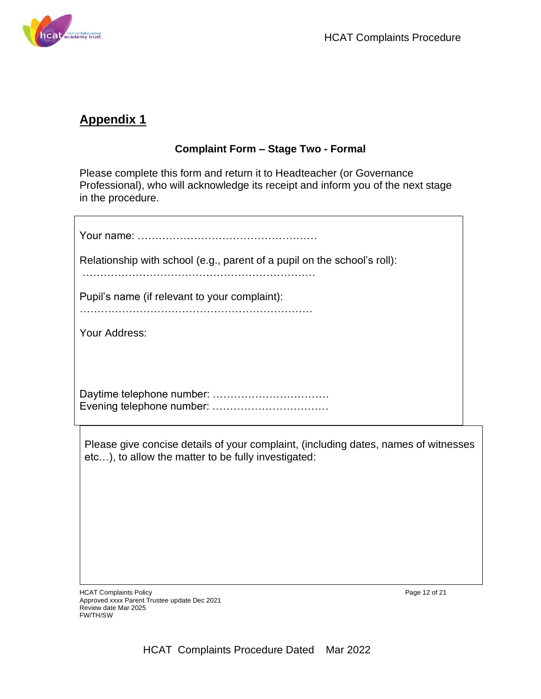

## **Appendix 1**

## **Complaint Form – Stage Two - Formal**

Please complete this form and return it to Headteacher (or Governance Professional), who will acknowledge its receipt and inform you of the next stage in the procedure.

| Relationship with school (e.g., parent of a pupil on the school's roll):          |
|-----------------------------------------------------------------------------------|
| Pupil's name (if relevant to your complaint):                                     |
| Your Address:                                                                     |
|                                                                                   |
|                                                                                   |
| Please give concise details of your complaint, (including dates, names of witness |

Please give concise details of your complaint, (including dates, names of witnesses etc…), to allow the matter to be fully investigated:

HCAT Complaints Policy **Page 12 of 21** Approved xxxx Parent Trustee update Dec 2021 Review date Mar 2025 FW/TH/SW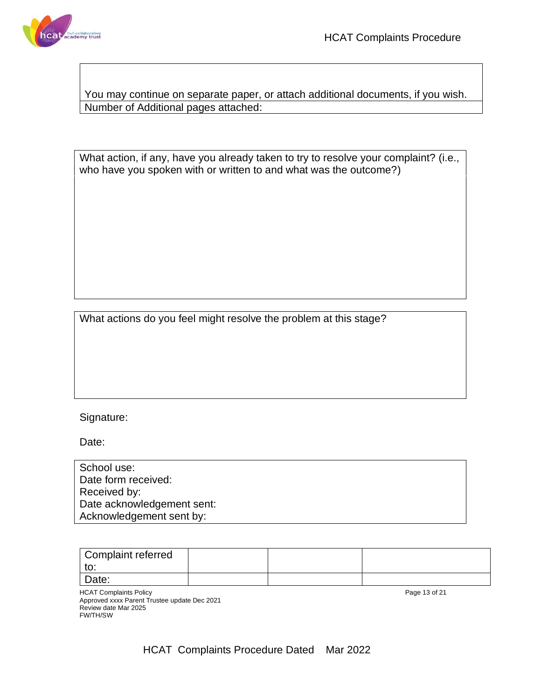

You may continue on separate paper, or attach additional documents, if you wish. Number of Additional pages attached:

What action, if any, have you already taken to try to resolve your complaint? (i.e., who have you spoken with or written to and what was the outcome?)

What actions do you feel might resolve the problem at this stage?

#### Signature:

Date:

| School use:                |  |
|----------------------------|--|
| Date form received:        |  |
| Received by:               |  |
| Date acknowledgement sent: |  |
| Acknowledgement sent by:   |  |

| Complaint referred |  |  |
|--------------------|--|--|
| w.                 |  |  |
| Date:              |  |  |

HCAT Complaints Policy Page 13 of 21 Approved xxxx Parent Trustee update Dec 2021 Review date Mar 2025 FW/TH/SW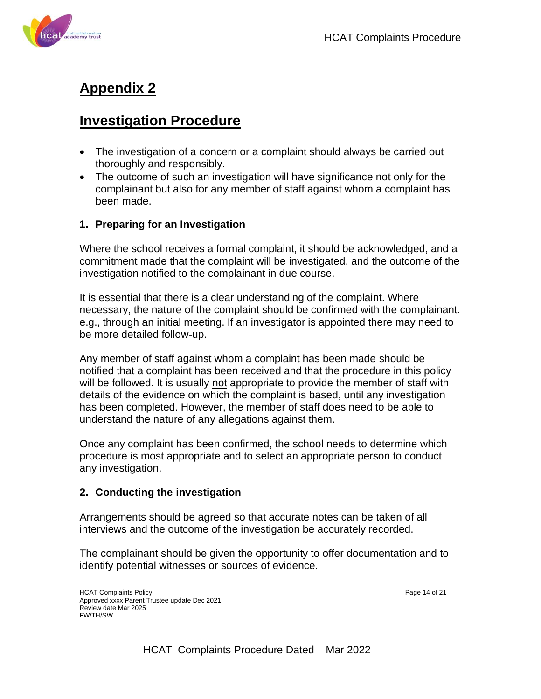



## **Appendix 2**

## **Investigation Procedure**

- The investigation of a concern or a complaint should always be carried out thoroughly and responsibly.
- The outcome of such an investigation will have significance not only for the complainant but also for any member of staff against whom a complaint has been made.

### **1. Preparing for an Investigation**

Where the school receives a formal complaint, it should be acknowledged, and a commitment made that the complaint will be investigated, and the outcome of the investigation notified to the complainant in due course.

It is essential that there is a clear understanding of the complaint. Where necessary, the nature of the complaint should be confirmed with the complainant. e.g., through an initial meeting. If an investigator is appointed there may need to be more detailed follow-up.

Any member of staff against whom a complaint has been made should be notified that a complaint has been received and that the procedure in this policy will be followed. It is usually not appropriate to provide the member of staff with details of the evidence on which the complaint is based, until any investigation has been completed. However, the member of staff does need to be able to understand the nature of any allegations against them.

Once any complaint has been confirmed, the school needs to determine which procedure is most appropriate and to select an appropriate person to conduct any investigation.

### **2. Conducting the investigation**

Arrangements should be agreed so that accurate notes can be taken of all interviews and the outcome of the investigation be accurately recorded.

The complainant should be given the opportunity to offer documentation and to identify potential witnesses or sources of evidence.

HCAT Complaints Policy **Page 14 of 21** Approved xxxx Parent Trustee update Dec 2021 Review date Mar 2025 FW/TH/SW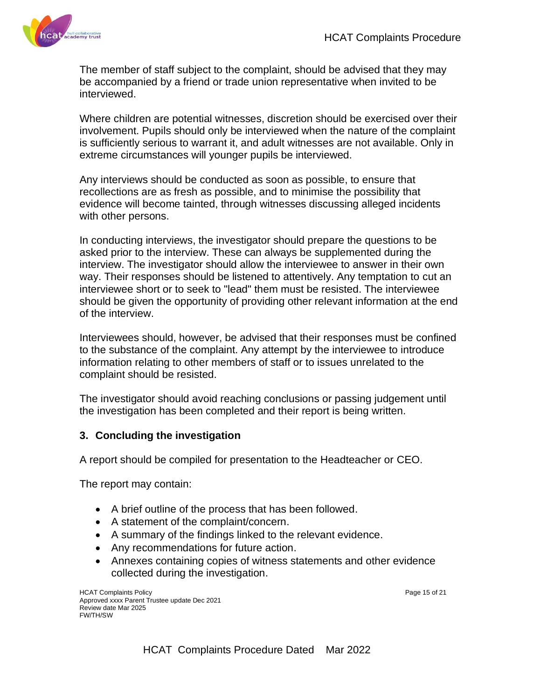

The member of staff subject to the complaint, should be advised that they may be accompanied by a friend or trade union representative when invited to be interviewed.

Where children are potential witnesses, discretion should be exercised over their involvement. Pupils should only be interviewed when the nature of the complaint is sufficiently serious to warrant it, and adult witnesses are not available. Only in extreme circumstances will younger pupils be interviewed.

Any interviews should be conducted as soon as possible, to ensure that recollections are as fresh as possible, and to minimise the possibility that evidence will become tainted, through witnesses discussing alleged incidents with other persons.

In conducting interviews, the investigator should prepare the questions to be asked prior to the interview. These can always be supplemented during the interview. The investigator should allow the interviewee to answer in their own way. Their responses should be listened to attentively. Any temptation to cut an interviewee short or to seek to "lead" them must be resisted. The interviewee should be given the opportunity of providing other relevant information at the end of the interview.

Interviewees should, however, be advised that their responses must be confined to the substance of the complaint. Any attempt by the interviewee to introduce information relating to other members of staff or to issues unrelated to the complaint should be resisted.

The investigator should avoid reaching conclusions or passing judgement until the investigation has been completed and their report is being written.

#### **3. Concluding the investigation**

A report should be compiled for presentation to the Headteacher or CEO.

The report may contain:

- A brief outline of the process that has been followed.
- A statement of the complaint/concern.
- A summary of the findings linked to the relevant evidence.
- Any recommendations for future action.
- Annexes containing copies of witness statements and other evidence collected during the investigation.

HCAT Complaints Policy **Page 15 of 21** Approved xxxx Parent Trustee update Dec 2021 Review date Mar 2025 FW/TH/SW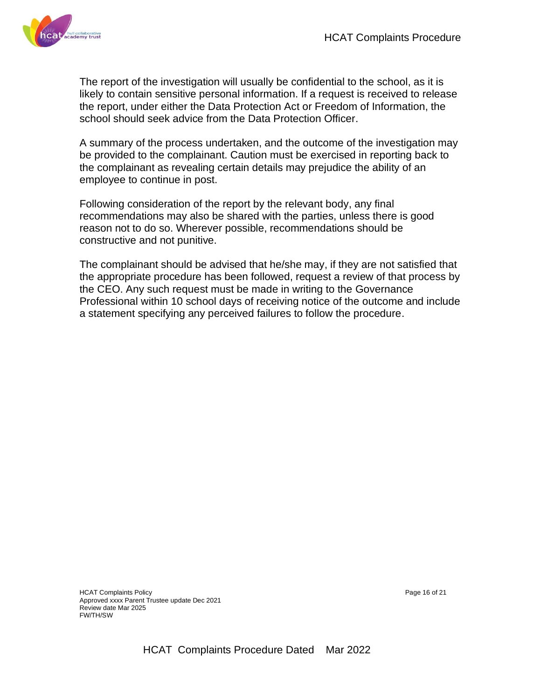

The report of the investigation will usually be confidential to the school, as it is likely to contain sensitive personal information. If a request is received to release the report, under either the Data Protection Act or Freedom of Information, the school should seek advice from the Data Protection Officer.

A summary of the process undertaken, and the outcome of the investigation may be provided to the complainant. Caution must be exercised in reporting back to the complainant as revealing certain details may prejudice the ability of an employee to continue in post.

Following consideration of the report by the relevant body, any final recommendations may also be shared with the parties, unless there is good reason not to do so. Wherever possible, recommendations should be constructive and not punitive.

The complainant should be advised that he/she may, if they are not satisfied that the appropriate procedure has been followed, request a review of that process by the CEO. Any such request must be made in writing to the Governance Professional within 10 school days of receiving notice of the outcome and include a statement specifying any perceived failures to follow the procedure.

HCAT Complaints Policy **Page 16 of 21** and 21 and 21 and 21 and 22 and 22 and 22 and 22 and 22 and 22 and 22 and 22 and 22 and 22 and 22 and 22 and 22 and 22 and 22 and 22 and 22 and 22 and 22 and 22 and 22 and 22 and 22 a Approved xxxx Parent Trustee update Dec 2021 Review date Mar 2025 FW/TH/SW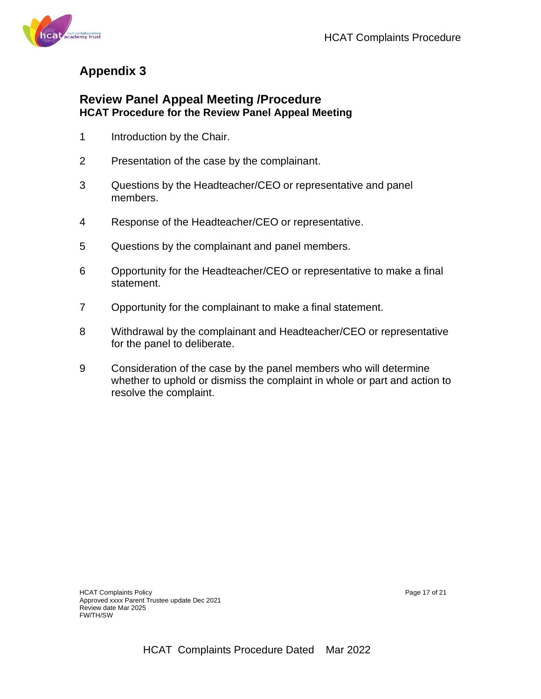

## **Appendix 3**

## **Review Panel Appeal Meeting /Procedure HCAT Procedure for the Review Panel Appeal Meeting**

- 1 Introduction by the Chair.
- 2 Presentation of the case by the complainant.
- 3 Questions by the Headteacher/CEO or representative and panel members.
- 4 Response of the Headteacher/CEO or representative.
- 5 Questions by the complainant and panel members.
- 6 Opportunity for the Headteacher/CEO or representative to make a final statement.
- 7 Opportunity for the complainant to make a final statement.
- 8 Withdrawal by the complainant and Headteacher/CEO or representative for the panel to deliberate.
- 9 Consideration of the case by the panel members who will determine whether to uphold or dismiss the complaint in whole or part and action to resolve the complaint.

HCAT Complaints Policy Page 17 of 21 Approved xxxx Parent Trustee update Dec 2021 Review date Mar 2025 FW/TH/SW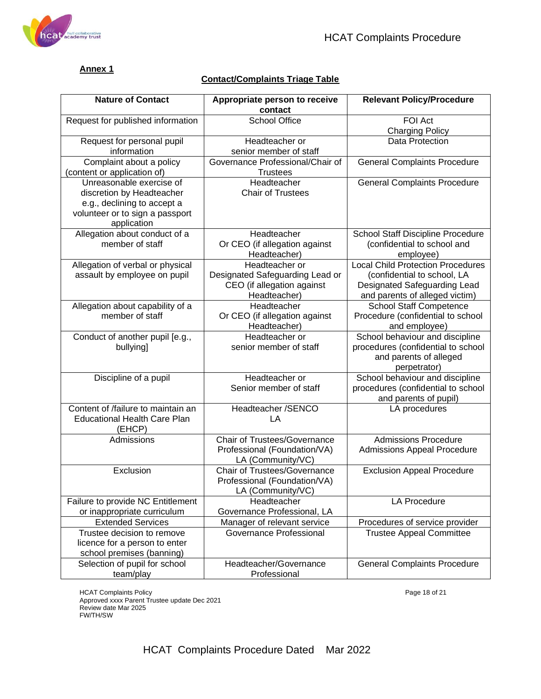

#### **Annex 1**

#### **Contact/Complaints Triage Table**

| <b>Nature of Contact</b>                                   | Appropriate person to receive<br>contact | <b>Relevant Policy/Procedure</b>                |
|------------------------------------------------------------|------------------------------------------|-------------------------------------------------|
| Request for published information                          | <b>School Office</b>                     | FOI Act                                         |
|                                                            |                                          | <b>Charging Policy</b>                          |
| Request for personal pupil                                 | Headteacher or                           | Data Protection                                 |
| information                                                | senior member of staff                   |                                                 |
| Complaint about a policy                                   | Governance Professional/Chair of         | <b>General Complaints Procedure</b>             |
| (content or application of)                                | <b>Trustees</b>                          |                                                 |
| Unreasonable exercise of                                   | Headteacher                              | <b>General Complaints Procedure</b>             |
| discretion by Headteacher                                  | <b>Chair of Trustees</b>                 |                                                 |
| e.g., declining to accept a                                |                                          |                                                 |
| volunteer or to sign a passport<br>application             |                                          |                                                 |
| Allegation about conduct of a                              | Headteacher                              | School Staff Discipline Procedure               |
| member of staff                                            | Or CEO (if allegation against            | (confidential to school and                     |
|                                                            | Headteacher)                             | employee)                                       |
| Allegation of verbal or physical                           | Headteacher or                           | <b>Local Child Protection Procedures</b>        |
| assault by employee on pupil                               | Designated Safeguarding Lead or          | (confidential to school, LA                     |
|                                                            | CEO (if allegation against               | Designated Safeguarding Lead                    |
|                                                            | Headteacher)                             | and parents of alleged victim)                  |
| Allegation about capability of a                           | Headteacher                              | <b>School Staff Competence</b>                  |
| member of staff                                            | Or CEO (if allegation against            | Procedure (confidential to school               |
|                                                            | Headteacher)                             | and employee)                                   |
| Conduct of another pupil [e.g.,                            | Headteacher or                           | School behaviour and discipline                 |
| bullying]                                                  | senior member of staff                   | procedures (confidential to school              |
|                                                            |                                          | and parents of alleged                          |
|                                                            | Headteacher or                           | perpetrator)<br>School behaviour and discipline |
| Discipline of a pupil                                      | Senior member of staff                   | procedures (confidential to school              |
|                                                            |                                          | and parents of pupil)                           |
| Content of /failure to maintain an                         | Headteacher /SENCO                       | LA procedures                                   |
| <b>Educational Health Care Plan</b>                        | LA                                       |                                                 |
| (EHCP)                                                     |                                          |                                                 |
| Admissions                                                 | <b>Chair of Trustees/Governance</b>      | <b>Admissions Procedure</b>                     |
|                                                            | Professional (Foundation/VA)             | <b>Admissions Appeal Procedure</b>              |
|                                                            | LA (Community/VC)                        |                                                 |
| Exclusion                                                  | <b>Chair of Trustees/Governance</b>      | <b>Exclusion Appeal Procedure</b>               |
|                                                            | Professional (Foundation/VA)             |                                                 |
|                                                            | LA (Community/VC)                        |                                                 |
| Failure to provide NC Entitlement                          | Headteacher                              | <b>LA Procedure</b>                             |
| or inappropriate curriculum                                | Governance Professional, LA              |                                                 |
| <b>Extended Services</b>                                   | Manager of relevant service              | Procedures of service provider                  |
| Trustee decision to remove                                 | Governance Professional                  | <b>Trustee Appeal Committee</b>                 |
| licence for a person to enter                              |                                          |                                                 |
| school premises (banning)<br>Selection of pupil for school | Headteacher/Governance                   | <b>General Complaints Procedure</b>             |
| team/play                                                  | Professional                             |                                                 |
|                                                            |                                          |                                                 |

HCAT Complaints Policy Page 18 of 21 Approved xxxx Parent Trustee update Dec 2021 Review date Mar 2025 FW/TH/SW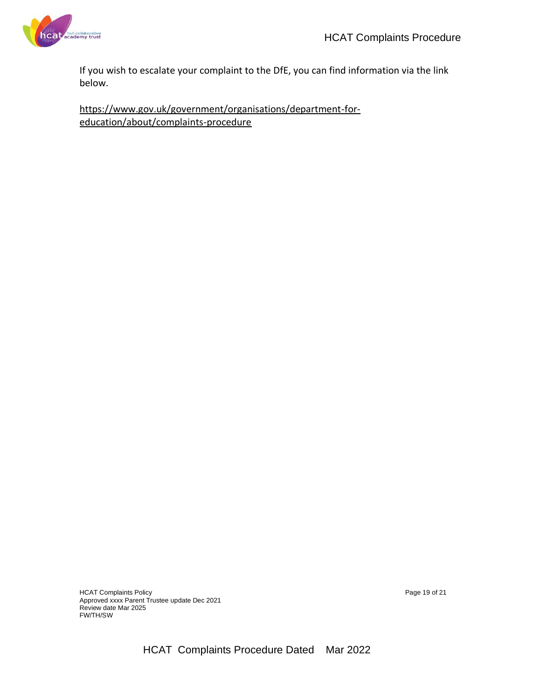

If you wish to escalate your complaint to the DfE, you can find information via the link below.

https://www.gov.uk/government/organisations/department-foreducation/about/complaints-procedure

HCAT Complaints Policy Page 19 of 21 Approved xxxx Parent Trustee update Dec 2021 Review date Mar 2025 FW/TH/SW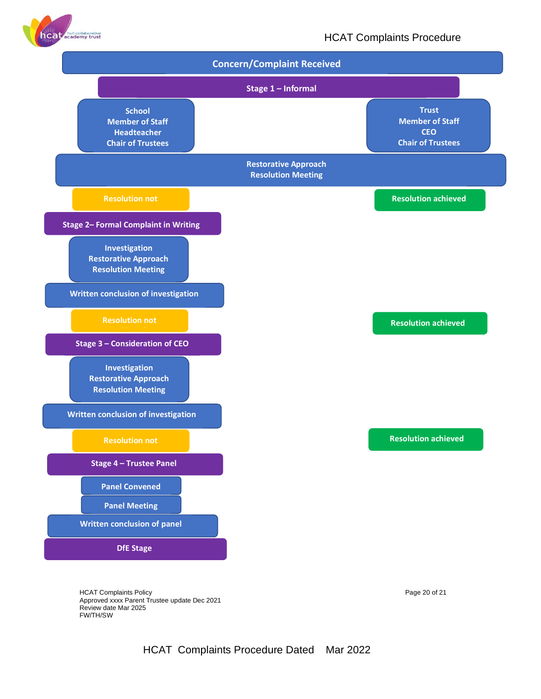

#### HCAT Complaints Procedure



HCAT Complaints Policy example 20 of 21 Approved xxxx Parent Trustee update Dec 2021 Review date Mar 2025 FW/TH/SW